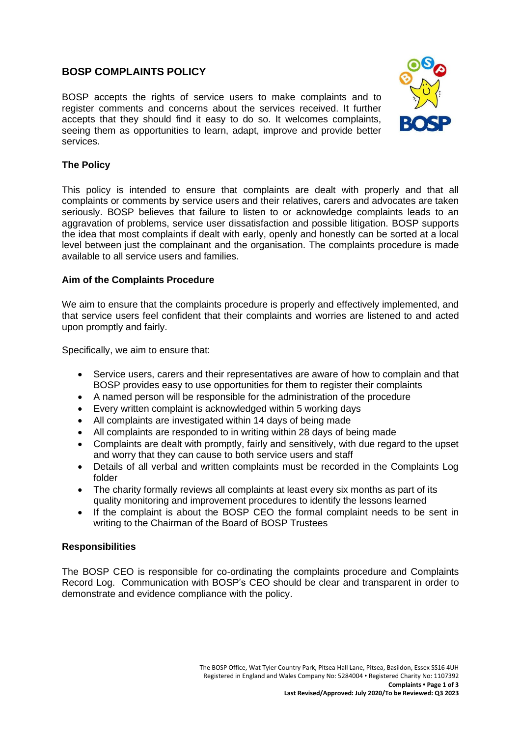# **BOSP COMPLAINTS POLICY**

BOSP accepts the rights of service users to make complaints and to register comments and concerns about the services received. It further accepts that they should find it easy to do so. It welcomes complaints, seeing them as opportunities to learn, adapt, improve and provide better services.



### **The Policy**

This policy is intended to ensure that complaints are dealt with properly and that all complaints or comments by service users and their relatives, carers and advocates are taken seriously. BOSP believes that failure to listen to or acknowledge complaints leads to an aggravation of problems, service user dissatisfaction and possible litigation. BOSP supports the idea that most complaints if dealt with early, openly and honestly can be sorted at a local level between just the complainant and the organisation. The complaints procedure is made available to all service users and families.

### **Aim of the Complaints Procedure**

We aim to ensure that the complaints procedure is properly and effectively implemented, and that service users feel confident that their complaints and worries are listened to and acted upon promptly and fairly.

Specifically, we aim to ensure that:

- Service users, carers and their representatives are aware of how to complain and that BOSP provides easy to use opportunities for them to register their complaints
- A named person will be responsible for the administration of the procedure
- Every written complaint is acknowledged within 5 working days
- All complaints are investigated within 14 days of being made
- All complaints are responded to in writing within 28 days of being made
- Complaints are dealt with promptly, fairly and sensitively, with due regard to the upset and worry that they can cause to both service users and staff
- Details of all verbal and written complaints must be recorded in the Complaints Log folder
- The charity formally reviews all complaints at least every six months as part of its quality monitoring and improvement procedures to identify the lessons learned
- If the complaint is about the BOSP CEO the formal complaint needs to be sent in writing to the Chairman of the Board of BOSP Trustees

### **Responsibilities**

The BOSP CEO is responsible for co-ordinating the complaints procedure and Complaints Record Log. Communication with BOSP's CEO should be clear and transparent in order to demonstrate and evidence compliance with the policy.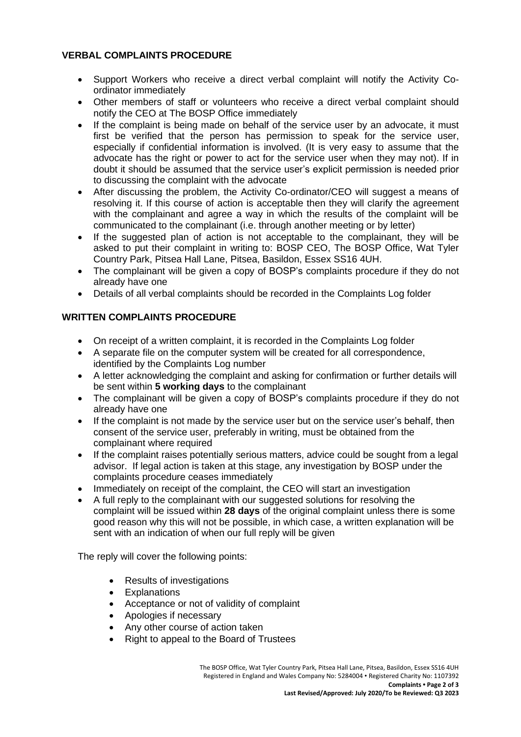# **VERBAL COMPLAINTS PROCEDURE**

- Support Workers who receive a direct verbal complaint will notify the Activity Coordinator immediately
- Other members of staff or volunteers who receive a direct verbal complaint should notify the CEO at The BOSP Office immediately
- If the complaint is being made on behalf of the service user by an advocate, it must first be verified that the person has permission to speak for the service user, especially if confidential information is involved. (It is very easy to assume that the advocate has the right or power to act for the service user when they may not). If in doubt it should be assumed that the service user's explicit permission is needed prior to discussing the complaint with the advocate
- After discussing the problem, the Activity Co-ordinator/CEO will suggest a means of resolving it. If this course of action is acceptable then they will clarify the agreement with the complainant and agree a way in which the results of the complaint will be communicated to the complainant (i.e. through another meeting or by letter)
- If the suggested plan of action is not acceptable to the complainant, they will be asked to put their complaint in writing to: BOSP CEO, The BOSP Office, Wat Tyler Country Park, Pitsea Hall Lane, Pitsea, Basildon, Essex SS16 4UH.
- The complainant will be given a copy of BOSP's complaints procedure if they do not already have one
- Details of all verbal complaints should be recorded in the Complaints Log folder

# **WRITTEN COMPLAINTS PROCEDURE**

- On receipt of a written complaint, it is recorded in the Complaints Log folder
- A separate file on the computer system will be created for all correspondence, identified by the Complaints Log number
- A letter acknowledging the complaint and asking for confirmation or further details will be sent within **5 working days** to the complainant
- The complainant will be given a copy of BOSP's complaints procedure if they do not already have one
- If the complaint is not made by the service user but on the service user's behalf, then consent of the service user, preferably in writing, must be obtained from the complainant where required
- If the complaint raises potentially serious matters, advice could be sought from a legal advisor. If legal action is taken at this stage, any investigation by BOSP under the complaints procedure ceases immediately
- Immediately on receipt of the complaint, the CEO will start an investigation
- A full reply to the complainant with our suggested solutions for resolving the complaint will be issued within **28 days** of the original complaint unless there is some good reason why this will not be possible, in which case, a written explanation will be sent with an indication of when our full reply will be given

The reply will cover the following points:

- Results of investigations
- Explanations
- Acceptance or not of validity of complaint
- Apologies if necessary
- Any other course of action taken
- Right to appeal to the Board of Trustees